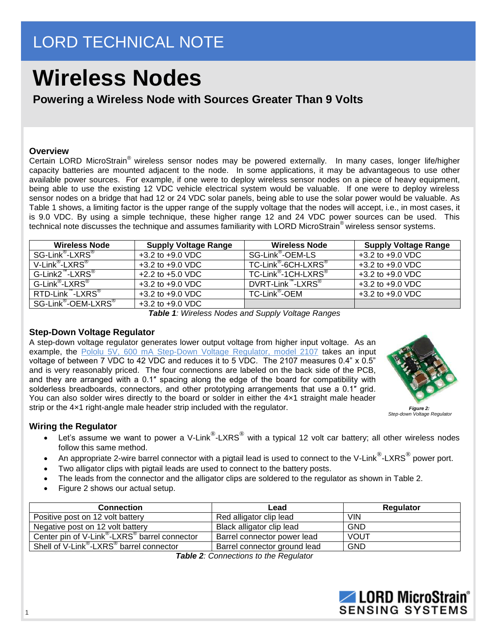## LORD TECHNICAL NOTE

# **Wireless Nodes**

**Powering a Wireless Node with Sources Greater Than 9 Volts**

#### **Overview**

Certain LORD MicroStrain® wireless sensor nodes may be powered externally. In many cases, longer life/higher capacity batteries are mounted adjacent to the node. In some applications, it may be advantageous to use other available power sources. For example, if one were to deploy wireless sensor nodes on a piece of heavy equipment, being able to use the existing 12 VDC vehicle electrical system would be valuable. If one were to deploy wireless sensor nodes on a bridge that had 12 or 24 VDC solar panels, being able to use the solar power would be valuable. As Table 1 shows, a limiting factor is the upper range of the supply voltage that the nodes will accept, i.e., in most cases, it is 9.0 VDC. By using a simple technique, these higher range 12 and 24 VDC power sources can be used. This technical note discusses the technique and assumes familiarity with LORD MicroStrain® wireless sensor systems.

| <b>Wireless Node</b>                        | <b>Supply Voltage Range</b> | <b>Wireless Node</b>                        | <b>Supply Voltage Range</b> |
|---------------------------------------------|-----------------------------|---------------------------------------------|-----------------------------|
| SG-Link <sup>®</sup> -LXRS <sup>®</sup>     | $+3.2$ to $+9.0$ VDC        | SG-Link <sup>®</sup> -OEM-LS                | $+3.2$ to $+9.0$ VDC        |
| V-Link <sup>®</sup> -LXRS <sup>®</sup>      | $+3.2$ to $+9.0$ VDC        | TC-Link <sup>®</sup> -6CH-LXRS <sup>®</sup> | $+3.2$ to $+9.0$ VDC        |
| $G$ -Link2 <sup>"</sup> -LXRS <sup>®</sup>  | $+2.2$ to $+5.0$ VDC        | TC-Link <sup>®</sup> -1CH-LXRS <sup>®</sup> | $+3.2$ to $+9.0$ VDC        |
| G-Link <sup>®</sup> -LXRS <sup>®</sup>      | $+3.2$ to $+9.0$ VDC        | DVRT-Link "-LXRS <sup>®"</sup>              | $+3.2$ to $+9.0$ VDC        |
| RTD-Link "-LXRS <sup>®</sup>                | $+3.2$ to $+9.0$ VDC        | TC-Link <sup>®</sup> -OEM                   | $+3.2$ to $+9.0$ VDC        |
| SG-Link <sup>®</sup> -OEM-LXRS <sup>®</sup> | $+3.2$ to $+9.0$ VDC        |                                             |                             |

*Table 1: Wireless Nodes and Supply Voltage Ranges*

#### **Step-Down Voltage Regulator**

A step-down voltage regulator generates lower output voltage from higher input voltage. As an example, the [Pololu 5V, 600 mA Step-Down Voltage Regulator, model 2107](http://www.pololu.com/catalog/product/2107) takes an input voltage of between 7 VDC to 42 VDC and reduces it to 5 VDC. The 2107 measures 0.4" x 0.5" and is very reasonably priced. The four connections are labeled on the back side of the PCB, and they are arranged with a 0.1″ spacing along the edge of the board for compatibility with solderless breadboards, connectors, and other prototyping arrangements that use a 0.1" grid. You can also solder wires directly to the board or solder in either the  $4\times1$  straight male header strip or the 4×1 right-angle male header strip included with the regulator.



*Step-down Voltage Regulator*

### **Wiring the Regulator**

- Let's assume we want to power a V-Link<sup>®</sup>-LXRS<sup>®</sup> with a typical 12 volt car battery; all other wireless nodes follow this same method.
- An appropriate 2-wire barrel connector with a pigtail lead is used to connect to the V-Link<sup>®</sup>-LXRS<sup>®</sup> power port.
- Two alligator clips with pigtail leads are used to connect to the battery posts.
- The leads from the connector and the alligator clips are soldered to the regulator as shown in Table 2.
- Figure 2 shows our actual setup.

| <b>Connection</b>                                                     | Lead                         | Regulator   |
|-----------------------------------------------------------------------|------------------------------|-------------|
| Positive post on 12 volt battery                                      | Red alligator clip lead      | <b>VIN</b>  |
| Negative post on 12 volt battery                                      | Black alligator clip lead    | <b>GND</b>  |
| Center pin of V-Link <sup>®</sup> -LXRS <sup>®</sup> barrel connector | Barrel connector power lead  | <b>VOUT</b> |
| Shell of V-Link <sup>®</sup> -LXRS <sup>®</sup> barrel connector      | Barrel connector ground lead | <b>GND</b>  |

*Table 2: Connections to the Regulator*